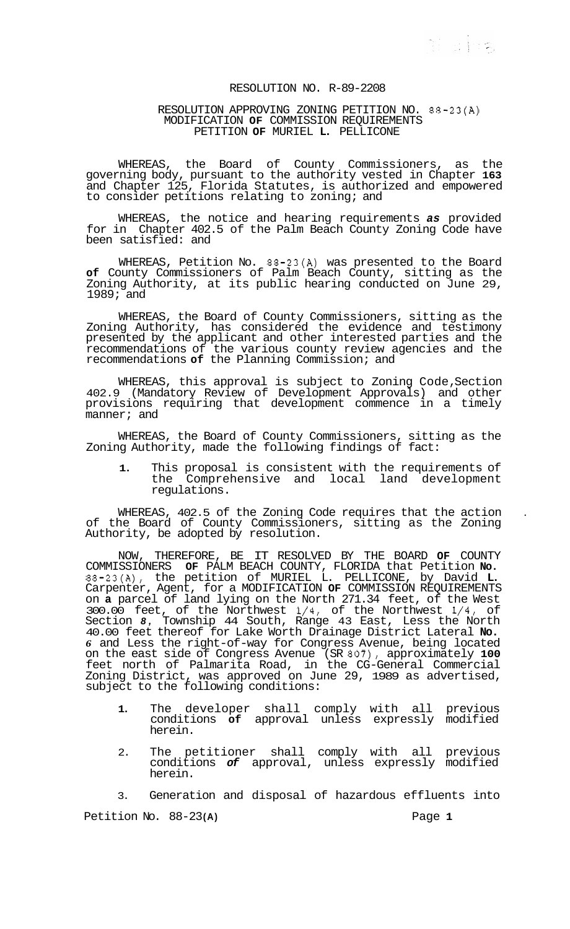第 518条

## RESOLUTION NO. R-89-2208

## RESOLUTION APPROVING ZONING PETITION NO. 88-23(A) MODIFICATION **OF** COMMISSION REQUIREMENTS PETITION **OF** MURIEL **L.** PELLICONE

WHEREAS, the Board of County Commissioners, as the governing body, pursuant to the authority vested in Chapter **163**  and Chapter 125, Florida Statutes, is authorized and empowered to consider petitions relating to zoning; and

WHEREAS, the notice and hearing requirements *as* provided for in Chapter 402.5 of the Palm Beach County Zoning Code have been satisfied: and

WHEREAS, Petition No. 88-23(A) was presented to the Board **of** County Commissioners of Palm Beach County, sitting as the Zoning Authority, at its public hearing conducted on June 29, 1989; and

WHEREAS, the Board of County Commissioners, sitting as the Zoning Authority, has considered the evidence and testimony presented by the applicant and other interested parties and the recommendations of the various county review agencies and the recommendations **of** the Planning Commission; and

WHEREAS, this approval is subject to Zoning Code, Section 402.9 (Mandatory Review of Development Approvals) and other provisions requiring that development commence in a timely manner; and

WHEREAS, the Board of County Commissioners, sitting as the Zoning Authority, made the following findings of fact:

**1.** This proposal is consistent with the requirements of the Comprehensive and local land development regulations.

WHEREAS, 402.5 of the Zoning Code requires that the action of the Board of County Commissioners, sitting as the Zoning Authority, be adopted by resolution.

NOW, THEREFORE, BE IT RESOLVED BY THE BOARD **OF** COUNTY COMMISSIONERS **OF** PALM BEACH COUNTY, FLORIDA that Petition **No.**  88-23(A), the petition of MURIEL L. PELLICONE, by David **L.**  Carpenter, Agent, for a MODIFICATION **OF** COMMISSION REQUIREMENTS on **a** parcel of land lying on the North 271.34 feet, of the West 300.00 feet, of the Northwest 1/4, of the Northwest 1/4, of Section *8,* Township 44 South, Range 43 East, Less the North 40.00 feet thereof for Lake Worth Drainage District Lateral **No.**  *6* and Less the right-of-way for Congress Avenue, being located on the east side of Congress Avenue (SR 807), approximately **100**  feet north of Palmarita Road, in the CG-General Commercial Zoning District, was approved on June 29, 1989 as advertised, subject to the following conditions:

- **1.** The developer shall comply with all previous conditions **of** approval unless expressly modified herein.
- 2. The petitioner shall comply with all previous conditions *of* approval, unless expressly modified herein.

3. Generation and disposal of hazardous effluents into Petition No. 88-23 **(A)** Page **1**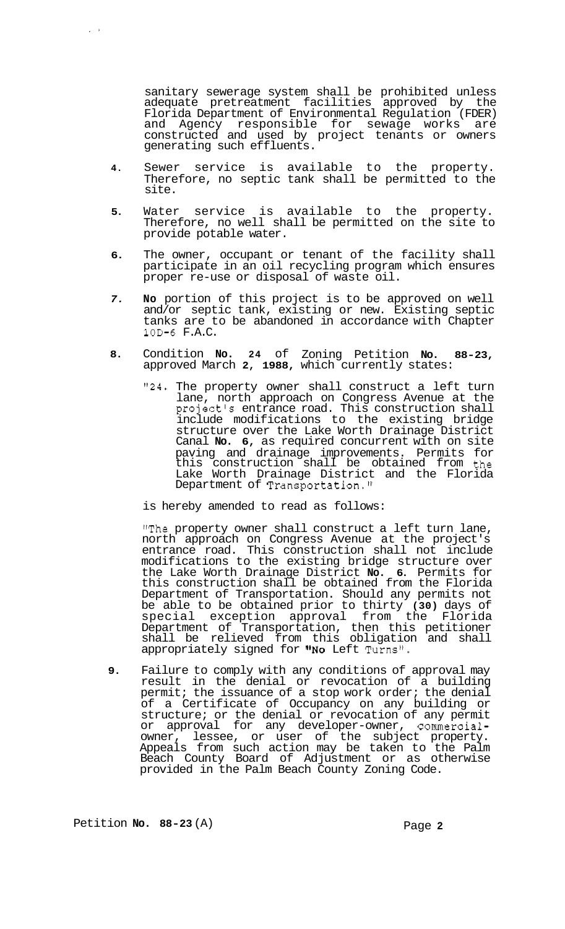sanitary sewerage system shall be prohibited unless adequate pretreatment facilities approved by the Florida Department of Environmental Regulation (FDER) and Agency responsible for sewage works are constructed and used by project tenants or owners generating such effluents.

- **4.** Sewer service is available to the property. Therefore, no septic tank shall be permitted to the site.
- **5.** Water service is available to the property. Therefore, no well shall be permitted on the site to provide potable water.
- **6.** The owner, occupant or tenant of the facility shall participate in an oil recycling program which ensures proper re-use or disposal of waste oil.
- *7.* **No** portion of this project is to be approved on well and/or septic tank, existing or new. Existing septic tanks are to be abandoned in accordance with Chapter **10D-6** F.A.C.
- **8.** Condition **No. 24** of Zoning Petition **No. 88-23,**  approved March **2, 1988,** which currently states:
	- **"24.** The property owner shall construct a left turn lane, north approach on Congress Avenue at the project's entrance road. This construction shall include modifications to the existing bridge structure over the Lake Worth Drainage District Canal **No. 6,** as required concurrent with on site paving and drainage improvements. Permits for this construction shall be obtained from the Lake Worth Drainage District and the Florida Department of Transportation."

is hereby amended to read as follows:

"The property owner shall construct a left turn lane, north approach on Congress Avenue at the project's entrance road. This construction shall not include modifications to the existing bridge structure over the Lake Worth Drainage District **No. 6.** Permits for this construction shall be obtained from the Florida Department of Transportation. Should any permits not be able to be obtained prior to thirty **(30)** days of special exception approval from the Florida Department of Transportation, then this petitioner shall be relieved from this obligation and shall appropriately signed for **@'No** Left Turns'@.

**9.** Failure to comply with any conditions of approval may result in the denial or revocation of a building permit; the issuance of a stop work order; the denial of a Certificate of Occupancy on any building or structure; or the denial or revocation of any permit or approval for any developer-owner, commercialowner, lessee, or user of the subject property. Appeals from such action may be taken to the Palm Beach County Board of Adjustment or as otherwise provided in the Palm Beach County Zoning Code.

Petition **No.** 88-23 (A) Page 2

 $\frac{1}{2}$  .  $\frac{1}{2}$